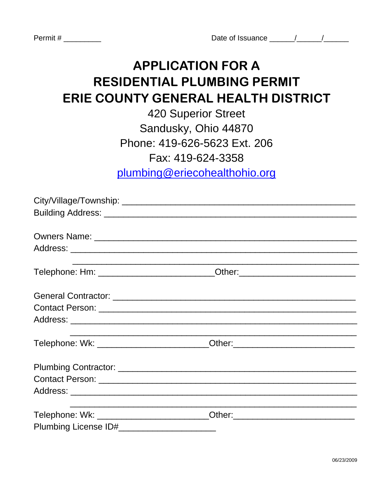Permit #

## **APPLICATION FOR A RESIDENTIAL PLUMBING PERMIT** ERIE COUNTY GENERAL HEALTH DISTRICT

**420 Superior Street** Sandusky, Ohio 44870 Phone: 419-626-5623 Ext. 206 Fax: 419-624-3358 plumbing@eriecohealthohio.org

| Telephone: Hm: ___________________________Other:________________________________ |  |
|----------------------------------------------------------------------------------|--|
|                                                                                  |  |
|                                                                                  |  |
|                                                                                  |  |
|                                                                                  |  |
| Telephone: Wk: ______________________________Other:_____________________________ |  |
|                                                                                  |  |
|                                                                                  |  |
|                                                                                  |  |
| Telephone: Wk: ____________________________Other:_______________________________ |  |
|                                                                                  |  |